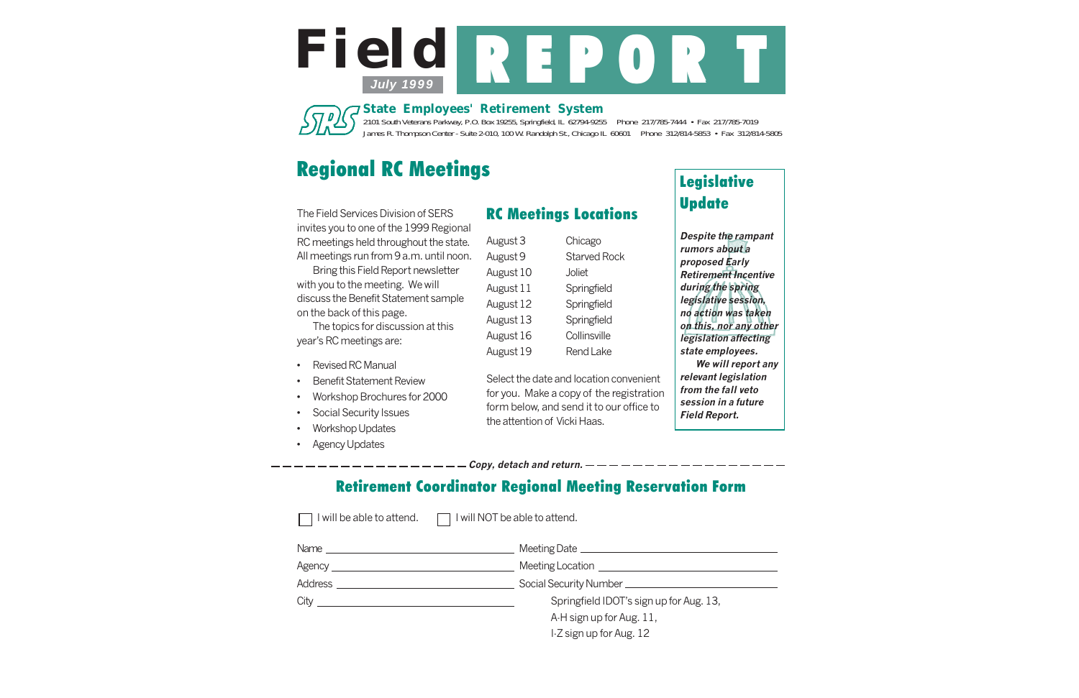# Regional RC Meetings

2101 South Veterans Parkway, P.O. Box 19255, Springfield, IL 62794-9255 Phone 217/785-7444 • Fax 217/785-7019 James R. Thompson Center - Suite 2-010, 100 W. Randolph St., Chicago IL 60601 Phone 312/814-5853 • Fax 312/814-5805

*State Employees' Retirement System*





The Field Services Division of SERS invites you to one of the 1999 Regional RC meetings held throughout the state. All meetings run from 9 a.m. until noon.

Bring this Field Report newsletter with you to the meeting. We will discuss the Benefit Statement sample on the back of this page.

The topics for discussion at this year's RC meetings are:

## Legislative **Update**

- •Revised RC Manual
- •Benefit Statement Review
- •Workshop Brochures for 2000
- •Social Security Issues
- •Workshop Updates
- •Agency Updates

### RC Meetings Locations

| August 3  | Chicago             |
|-----------|---------------------|
| August 9  | <b>Starved Rock</b> |
| August 10 | Joliet              |
| August 11 | Springfield         |
| August 12 | Springfield         |
| August 13 | Springfield         |
| August 16 | Collinsville        |
| August 19 | <b>Rend Lake</b>    |

Select the date and location convenient for you. Make a copy of the registration form below, and send it to our office to the attention of Vicki Haas.

## Retirement Coordinator Regional Meeting Reservation Form

 $\mathsf{Copy}$ , detach and return.  $-$ 

 $\Box$  I will be able to attend.  $\Box$  I will NOT be able to attend.

| Name $\frac{1}{2}$               | Meeting Date ______________             |
|----------------------------------|-----------------------------------------|
| Agency _________________________ | Meeting Location <b>Example 2018</b>    |
| <b>Address</b>                   | Social Security Number ____________     |
| City                             | Springfield IDOT's sign up for Aug. 13, |
|                                  | A-H sign up for Aug. 11,                |
|                                  | I-Z sign up for Aug. 12                 |

**Despite the rampant rumors about a proposed Early Retirement Incentive during the spring legislative session, no action was taken on this, nor any other legislation affecting state employees.**

**We will report any relevant legislation from the fall veto session in a future Field Report.**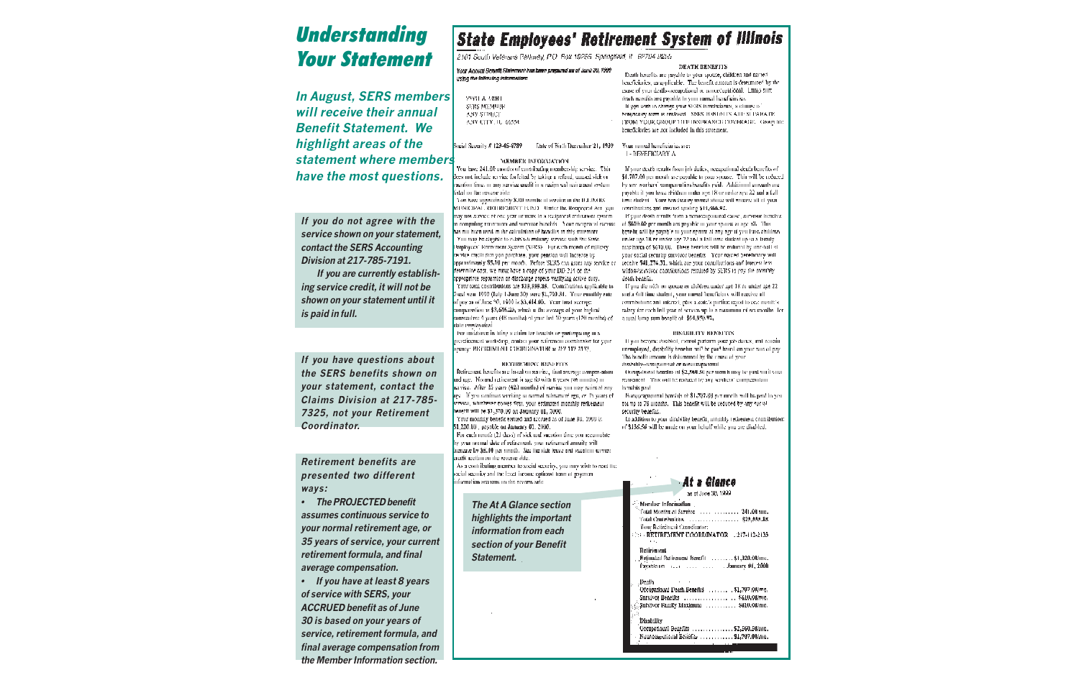# **Understanding** Your Statement

**In August, SERS members will receive their annual Benefit Statement. We highlight areas of the statement where members have the most questions.**

**If you do not agree with the service shown on your statement, contact the SERS Accounting Division at 217-785-7191. If you are currently establishing service credit, it will not be shown on your statement until it is paid in full.**

**Retirement benefits are presented two different ways:**

**• The PROJECTED benefit assumes continuous service to your normal retirement age, or 35 years of service, your current retirement formula, and final average compensation.**

**• If you have at least 8 years of service with SERS, your ACCRUED benefit as of June 30 is based on your years of service, retirement formula, and final average compensation from the Member Information section.**

## **State Employees' Retirement System of Illinois**

2101 South Veterans Parkway, P.O. Box 19255. Springfield, IL: 62704-9255.

Your Amount Benefit Statement has been prepared as of Jone 30, 1999. using the following information:

| 写马官 孟 人供照日          |
|---------------------|
| SVRS MEMULIR        |
| ANY STREET          |
| ANY CITY. IL. 66554 |

Social Seconds # 123-45-6789 Date of Birth December 21, 1939

#### MEMBER INFORMATION

You bave 241.00 months of contributing membership service. This does not include service forfeited by taking a refund, unused sick or acation time, or any service credit in a reciprocal recircusent system. listed on the resource side.

You have approximately \$400 membe of ecrylics in the D.LINOIS. MUNICIPAL RICHRIGHCVT FUND Under the Registered Art Voll may not survice of one year or more in a reciprocal criterious system. n computing concentrate and survivor bonotifs. Your compromative constants of \$630.00 per month are payable to your sponse at age off. This has not been used in the calculation of benefits in this seasonce. You may be cligible to calabiash military service with the State. Umployees' Rennensor System (SERS). Dor each month of millipryervice credit that you purchase, your pension will increase by approximately \$5.10 per month. Defore SERS can grant any service or receive \$41,274.31, which are your contributions and interest less. ferermine cast, we must have a copy of your DD 214 or the appropriate separation or discharge papers verifying active duty. Your total contributions are \$25,555.85. Contributions applicable to Sycal year 1999 (July 1-June 30) were \$1,793.31. Your enoughly rate d' рау за об June 30, 1999 is \$3,414.00. - Your treat average ammanation is \$3,646.20, which is the average of your highest. senzesultvs 4. years (48 menths) of your fast 10 years (120 menths) of stati: employirent

For assistance in titing a ctaim for tsuchts or participating in a nardicamant workshep, contain your ratirement correlinator for your SOUGH BICHRIGMTON LITTERININATION & ALVITTE ATV.

TO CONTRACTOR ON THE REPORT OF STOP Retirement benefits are loosed on service, thist average componention and age. Morend retirement is spe 60 with 8 years (96 mmiles) or service. After 35 years (420 months) of service you may reain at any ape. If you continue working to normal relevanced ago, or th years of serves of bonetit will be \$1,370.00 on January 01, 2000. Your monthly benefit earned and accrued as of June 30, 1999 is \$1,220.00 , payable on January 01, 2000, For each month (21 days) of sick and vacation time you accumulate by your normal date of retirement, your retirement annuity will crease by \$6.10 per menth. See the sick tense and vacation service eredit section on the reverse side. As a contributing member to social security, you may wish to read the acial security and the lovet income optional turns of payment diarmation secureme on the reverse sub-

**If you have questions about the SERS benefits shown on your statement, contact the Claims Division at 217-785- 7325, not your Retirement Coordinator.**

> **The At A Glance section highlights the important information from each section of your Benefit Statement.**

#### DEATH BENEFITS Death benefits are meable to your spouse, children and named beneficiaries, as applicable. The benefit amount is determined by the eause of your death-occupational or acooccupational. Lump sumiteach neoclits are payable to your named heneficiation. - If you wish to change your SEERS hundheismes, a change of benundary rom is endosed. Stats than 00 PS ARE SEPARA IR-TROM YOUR GROUP LITE INSURANCELL COVINAGE. GIVING THE

beneficiaries are not included in this statement.

Your named beneficiaries are: **L. NEMEERTADY A** 

If your death results from job daties, occupational death benefits of \$1,707.00 per month are payable to your spouse. This will be reduced by any workers' comparedtion basefits paid. Additional amounts are payable it you have children moter age 18 or noder are 22 and a fullfone cludent. Your hencheatry named above will retaine all of your contributions and meanst rataling \$14,466.92.

If your death creatis from a nonosxupotional cause, survivor houdies. benefit will be payable to your sponse at any age it you have children under ago 18 or under age 22 and a fall time student up to a family. mazinion of \$610.00. These benefits will be reduced by one half of your social security survivor benefits. Your named benefictary will widow/servivor contributions retained by SERS to pay the monthlydeath beaefit.

If you die with my spouse or children under age 18 or under age 22. sud a full time student, your named heneficiary will receive all contributions and interest, plus a soile's portion coust to eac menth's. zalary for each full year of service up to a maximum of use months. Tora total lump sum benefit of \$64,950.97,

#### **HISARH TTV BENEFTIN**

If you become charabled, comput nuclearm your job duries, and require unemployed, disability benefits will be paid based on your rain of pay-The benefit amount is determined by the cause of your dissibility--ratio maintimal or increasedness remai-

- Occupational boodies of \$2,560.50 per month may be paul muit voinremement. This will be exhaust by any weakers' companishing **Incredibity matel** 

Nonographenal benefits of \$1,707.00 per month will be paid to you. toi up to 78 months. This benefit will be reduced by any social security benefits.

In addition to your disability benefit, monthly refrement contributions of \$136.56 will be made on your helialf while you are disabled.

### At a Glance

|   | $\frac{1}{2}$ Member Information<br>$\frac{1}{2}$ Noving at Service<br>$\frac{1}{2}$ 1.00 nm.<br>Total Contribution (1999) 1999 (1999) 1999-55-10<br>Your Retirement Coordinator:<br><b>CSU RETIREMENT COORDINATOR 1217-112-2133</b> |
|---|--------------------------------------------------------------------------------------------------------------------------------------------------------------------------------------------------------------------------------------|
|   | Retirement                                                                                                                                                                                                                           |
|   | <sub>n a</sub> Deµih<br>Subvivor Family Maximum  \$610.00/mo.                                                                                                                                                                        |
| P | 12isabillty<br>Occupational Benefits (Fig. 1111) [111] \$2,560.50/mo.<br>Nautocupational Beiefits  \$1,797.00/mo.                                                                                                                    |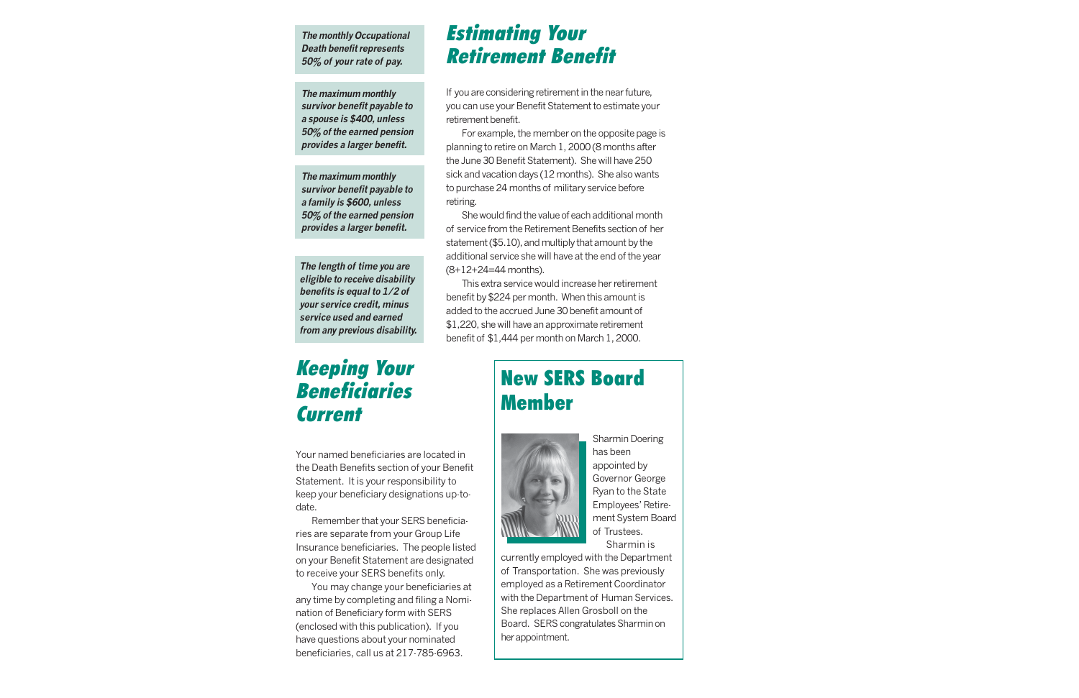## New SERS Board Member



Sharmin Doering has been appointed by Governor George Ryan to the State Employees' Retirement System Board of Trustees. Sharmin is

currently employed with the Department of Transportation. She was previously employed as a Retirement Coordinator with the Department of Human Services. She replaces Allen Grosboll on the Board. SERS congratulates Sharmin on her appointment.

## Estimating Your Retirement Benefit

If you are considering retirement in the near future, you can use your Benefit Statement to estimate your retirement benefit.

## Keeping Your Beneficiaries **Current**

For example, the member on the opposite page is planning to retire on March 1, 2000 (8 months after the June 30 Benefit Statement). She will have 250 sick and vacation days (12 months). She also wants to purchase 24 months of military service before retiring.

She would find the value of each additional month of service from the Retirement Benefits section of her statement (\$5.10), and multiply that amount by the additional service she will have at the end of the year (8+12+24=44 months).

This extra service would increase her retirement benefit by \$224 per month. When this amount is added to the accrued June 30 benefit amount of \$1,220, she will have an approximate retirement benefit of \$1,444 per month on March 1, 2000.

Your named beneficiaries are located in the Death Benefits section of your Benefit Statement. It is your responsibility to keep your beneficiary designations up-todate.

Remember that your SERS beneficiaries are separate from your Group Life Insurance beneficiaries. The people listed on your Benefit Statement are designated to receive your SERS benefits only.

You may change your beneficiaries at any time by completing and filing a Nomination of Beneficiary form with SERS (enclosed with this publication). If you have questions about your nominated beneficiaries, call us at 217-785-6963.

**The monthly Occupational Death benefit represents 50% of your rate of pay.**

**The maximum monthly survivor benefit payable to a spouse is \$400, unless 50% of the earned pension provides a larger benefit.**

**The maximum monthly survivor benefit payable to a family is \$600, unless 50% of the earned pension provides a larger benefit.**

**The length of time you are eligible to receive disability benefits is equal to 1/2 of your service credit, minus service used and earned from any previous disability.**